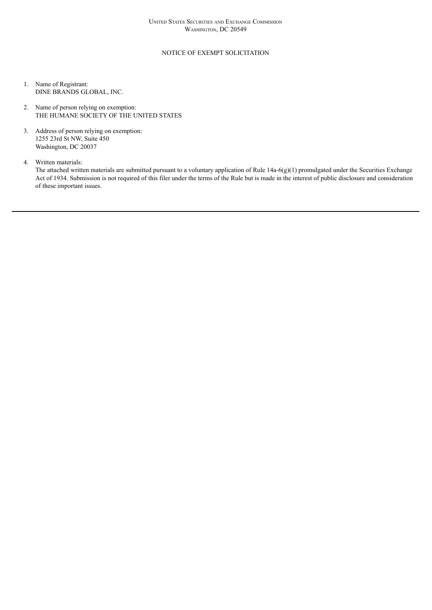## NOTICE OF EXEMPT SOLICITATION

- 1. Name of Registrant: DINE BRANDS GLOBAL, INC.
- 2. Name of person relying on exemption: THE HUMANE SOCIETY OF THE UNITED STATES
- 3. Address of person relying on exemption: 1255 23rd St NW, Suite 450 Washington, DC 20037
- 4. Written materials:

The attached written materials are submitted pursuant to a voluntary application of Rule 14a-6(g)(1) promulgated under the Securities Exchange Act of 1934. Submission is not required of this filer under the terms of the Rule but is made in the interest of public disclosure and consideration of these important issues.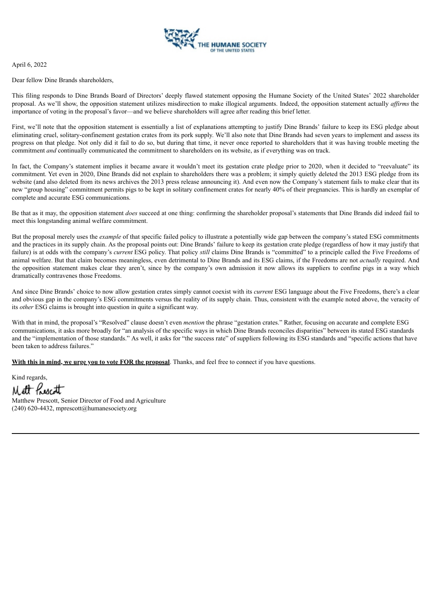

April 6, 2022

Dear fellow Dine Brands shareholders,

This filing responds to Dine Brands Board of Directors' deeply flawed statement opposing the Humane Society of the United States' 2022 shareholder proposal. As we'll show, the opposition statement utilizes misdirection to make illogical arguments. Indeed, the opposition statement actually *af irms* the importance of voting in the proposal's favor—and we believe shareholders will agree after reading this brief letter.

First, we'll note that the opposition statement is essentially a list of explanations attempting to justify Dine Brands' failure to keep its ESG pledge about eliminating cruel, solitary-confinement gestation crates from its pork supply. We'll also note that Dine Brands had seven years to implement and assess its progress on that pledge. Not only did it fail to do so, but during that time, it never once reported to shareholders that it was having trouble meeting the commitment *and* continually communicated the commitment to shareholders on its website, as if everything was on track.

In fact, the Company's statement implies it became aware it wouldn't meet its gestation crate pledge prior to 2020, when it decided to "reevaluate" its commitment. Yet even in 2020, Dine Brands did not explain to shareholders there was a problem; it simply quietly deleted the 2013 ESG pledge from its website (and also deleted from its news archives the 2013 press release announcing it). And even now the Company's statement fails to make clear that its new "group housing" commitment permits pigs to be kept in solitary confinement crates for nearly 40% of their pregnancies. This is hardly an exemplar of complete and accurate ESG communications.

Be that as it may, the opposition statement *does* succeed at one thing: confirming the shareholder proposal's statements that Dine Brands did indeed fail to meet this longstanding animal welfare commitment.

But the proposal merely uses the *example* of that specific failed policy to illustrate a potentially wide gap between the company's stated ESG commitments and the practices in its supply chain. As the proposal points out: Dine Brands' failure to keep its gestation crate pledge (regardless of how it may justify that failure) is at odds with the company's *current* ESG policy. That policy *still* claims Dine Brands is "committed" to a principle called the Five Freedoms of animal welfare. But that claim becomes meaningless, even detrimental to Dine Brands and its ESG claims, if the Freedoms are not *actually* required. And the opposition statement makes clear they aren't, since by the company's own admission it now allows its suppliers to confine pigs in a way which dramatically contravenes those Freedoms.

And since Dine Brands' choice to now allow gestation crates simply cannot coexist with its *current* ESG language about the Five Freedoms, there's a clear and obvious gap in the company's ESG commitments versus the reality of its supply chain. Thus, consistent with the example noted above, the veracity of its *other* ESG claims is brought into question in quite a significant way.

With that in mind, the proposal's "Resolved" clause doesn't even *mention* the phrase "gestation crates." Rather, focusing on accurate and complete ESG communications, it asks more broadly for "an analysis of the specific ways in which Dine Brands reconciles disparities" between its stated ESG standards and the "implementation of those standards." As well, it asks for "the success rate" of suppliers following its ESG standards and "specific actions that have been taken to address failures."

**With this in mind, we urge you to vote FOR the proposal**. Thanks, and feel free to connect if you have questions.

Kind regards,

Mett Resett

Matthew Prescott, Senior Director of Food and Agriculture (240) 620-4432, mprescott@humanesociety.org